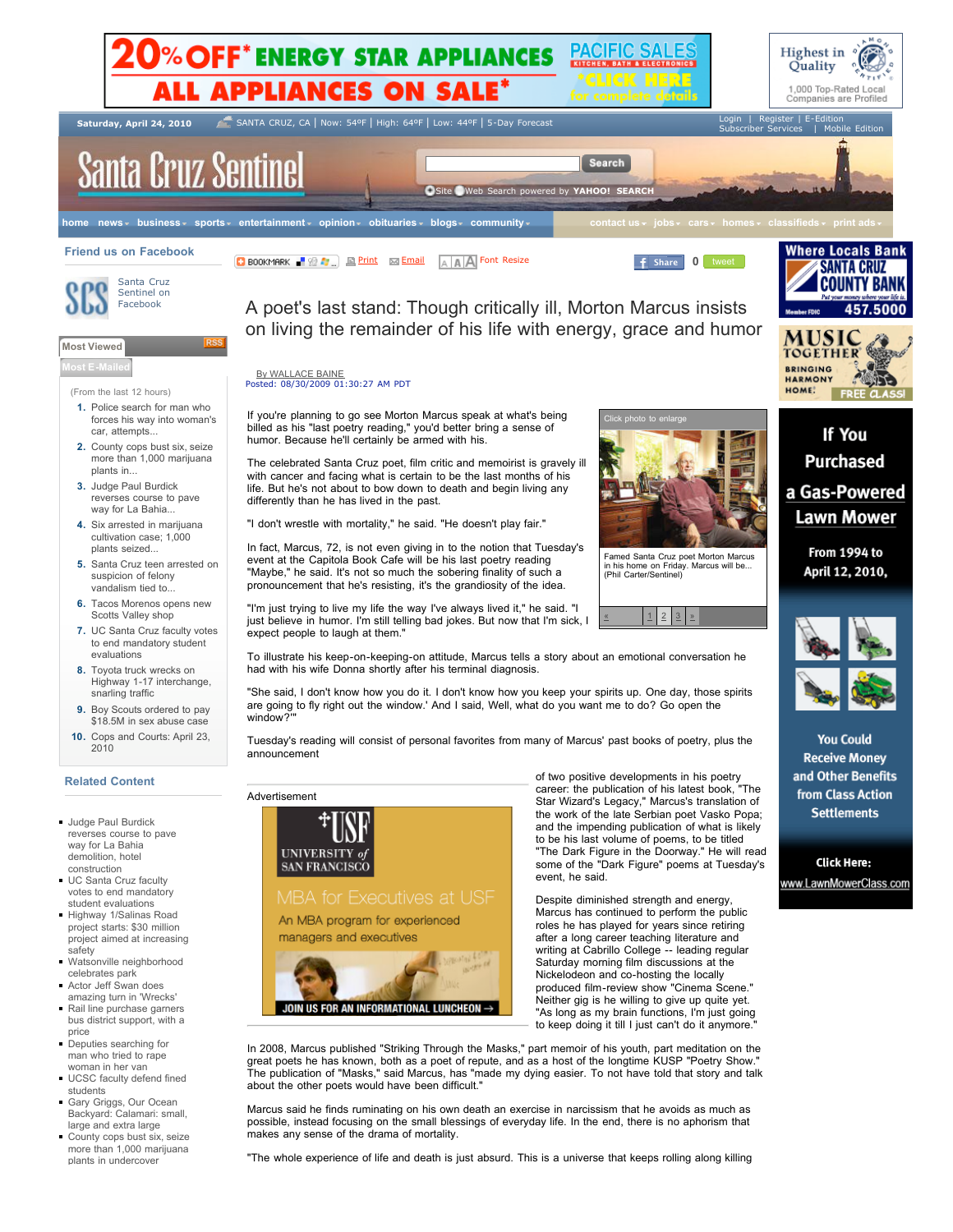

"The whole experience of life and death is just absurd. This is a universe that keeps rolling along killing

plants in undercover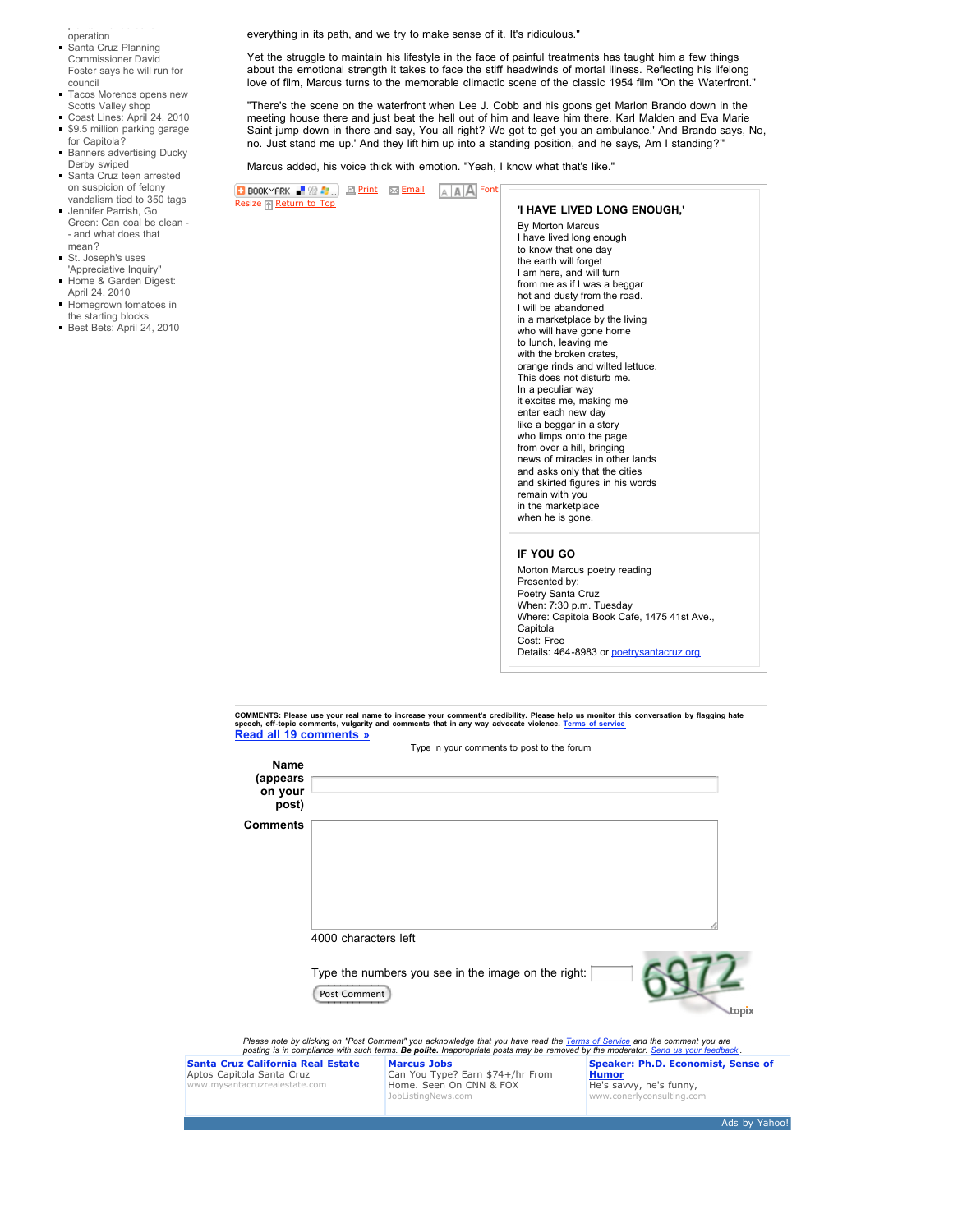[operation](http://www.santacruzsentinel.com/ci_14951188)

Santa Cruz Planning Commissioner David [Foster says he will run for](http://www.santacruzsentinel.com/ci_14951187) council

plants in undercover

- [Tacos Morenos opens new](http://www.santacruzsentinel.com/ci_14951186) Scotts Valley shop
- [Coast Lines: April 24, 2010](http://www.santacruzsentinel.com/ci_14951185) [\\$9.5 million parking garage](http://www.santacruzsentinel.com/ci_14951176)
- for Capitola? **[Banners advertising Ducky](http://www.santacruzsentinel.com/ci_14951175)**
- Derby swiped Santa Cruz teen arrested
- on suspicion of felony [vandalism tied to 350 tags](http://www.santacruzsentinel.com/ci_14951174) Jennifer Parrish, Go
- [Green: Can coal be clean -](http://www.santacruzsentinel.com/ci_14950869) - and what does that mean?
- St. Joseph's uses
- ['Appreciative Inquiry"](http://www.santacruzsentinel.com/ci_14950868) [Home & Garden Digest:](http://www.santacruzsentinel.com/ci_14950866) April 24, 2010
- [Homegrown tomatoes in](http://www.santacruzsentinel.com/ci_14950864)
- the starting blocks [Best Bets: April 24, 2010](http://www.santacruzsentinel.com/ci_14950863)

everything in its path, and we try to make sense of it. It's ridiculous."

Yet the struggle to maintain his lifestyle in the face of painful treatments has taught him a few things about the emotional strength it takes to face the stiff headwinds of mortal illness. Reflecting his lifelong love of film, Marcus turns to the memorable climactic scene of the classic 1954 film "On the Waterfront."

"There's the scene on the waterfront when Lee J. Cobb and his goons get Marlon Brando down in the meeting house there and just beat the hell out of him and leave him there. Karl Malden and Eva Marie Saint jump down in there and say, You all right? We got to get you an ambulance.' And Brando says, No, no. Just stand me up.' And they lift him up into a standing position, and he says, Am I standing?'"

Marcus added, his voice thick with emotion. "Yeah, I know what that's like."

| C BOOKMARK <b>R</b> 22 4 R | <u>ाज्ञ Email</u> | $\boxed{\triangle}$ Font<br>$\mathbb{A}$ |                                                |
|----------------------------|-------------------|------------------------------------------|------------------------------------------------|
| Resize 图 Return to Top     |                   |                                          | 'I HAVE LIVED LONG ENOUGH,'                    |
|                            |                   |                                          | By Morton Marcus                               |
|                            |                   |                                          | I have lived long enough                       |
|                            |                   |                                          | to know that one day                           |
|                            |                   |                                          | the earth will forget                          |
|                            |                   |                                          | I am here, and will turn                       |
|                            |                   |                                          | from me as if I was a beggar                   |
|                            |                   |                                          | hot and dusty from the road.                   |
|                            |                   |                                          | I will be abandoned                            |
|                            |                   |                                          | in a marketplace by the living                 |
|                            |                   |                                          | who will have gone home                        |
|                            |                   |                                          | to lunch, leaving me                           |
|                            |                   |                                          | with the broken crates.                        |
|                            |                   |                                          | orange rinds and wilted lettuce.               |
|                            |                   |                                          | This does not disturb me.<br>In a peculiar way |
|                            |                   |                                          | it excites me, making me                       |
|                            |                   |                                          | enter each new day                             |
|                            |                   |                                          | like a beggar in a story                       |
|                            |                   |                                          | who limps onto the page                        |
|                            |                   |                                          | from over a hill, bringing                     |
|                            |                   |                                          | news of miracles in other lands                |
|                            |                   |                                          | and asks only that the cities                  |
|                            |                   |                                          | and skirted figures in his words               |
|                            |                   |                                          | remain with you                                |
|                            |                   |                                          | in the marketplace                             |
|                            |                   |                                          | when he is gone.                               |
|                            |                   |                                          | IF YOU GO                                      |
|                            |                   |                                          | Morton Marcus poetry reading                   |
|                            |                   |                                          | Presented by:                                  |
|                            |                   |                                          | Poetry Santa Cruz                              |
|                            |                   |                                          | When: 7:30 p.m. Tuesday                        |
|                            |                   |                                          | Where: Capitola Book Cafe, 1475 41st Ave.,     |
|                            |                   |                                          | Capitola                                       |
|                            |                   |                                          | Cost: Free                                     |
|                            |                   |                                          | Details: 464-8983 or poetrysantacruz.org       |
|                            |                   |                                          |                                                |

COMMENTS: Please use your real name to increase your comment's credibility. Please help us monitor this conversation by flagging hate<br>speech, off-topic comments, vulgarity and comments that in any way advocate violence. <u>T</u>

|                                                                                                 | Type in your comments to post to the forum                                                                                                                                                                                                                    |                                                                               |
|-------------------------------------------------------------------------------------------------|---------------------------------------------------------------------------------------------------------------------------------------------------------------------------------------------------------------------------------------------------------------|-------------------------------------------------------------------------------|
| <b>Name</b><br>(appears<br>on your<br>post)                                                     |                                                                                                                                                                                                                                                               |                                                                               |
| <b>Comments</b>                                                                                 |                                                                                                                                                                                                                                                               |                                                                               |
|                                                                                                 | 4000 characters left                                                                                                                                                                                                                                          |                                                                               |
|                                                                                                 | Type the numbers you see in the image on the right:<br>Post Comment                                                                                                                                                                                           | topix                                                                         |
|                                                                                                 | Please note by clicking on "Post Comment" you acknowledge that you have read the Terms of Service and the comment you are<br>posting is in compliance with such terms. Be polite. Inappropriate posts may be removed by the moderator. Send us your feedback. |                                                                               |
| Santa Cruz California Real Estate<br>Aptos Capitola Santa Cruz<br>www.mysantacruzrealestate.com | <b>Marcus Jobs</b><br>Can You Type? Earn \$74+/hr From<br>Home. Seen On CNN & FOX                                                                                                                                                                             | Speaker: Ph.D. Economist, Sense of<br><b>Humor</b><br>He's savvy, he's funny, |

www.conerlyconsulting.co

[Ads by Yahoo!](http://info.yahoo.com/services/us/yahoo/ads/details.html)

JobListingNews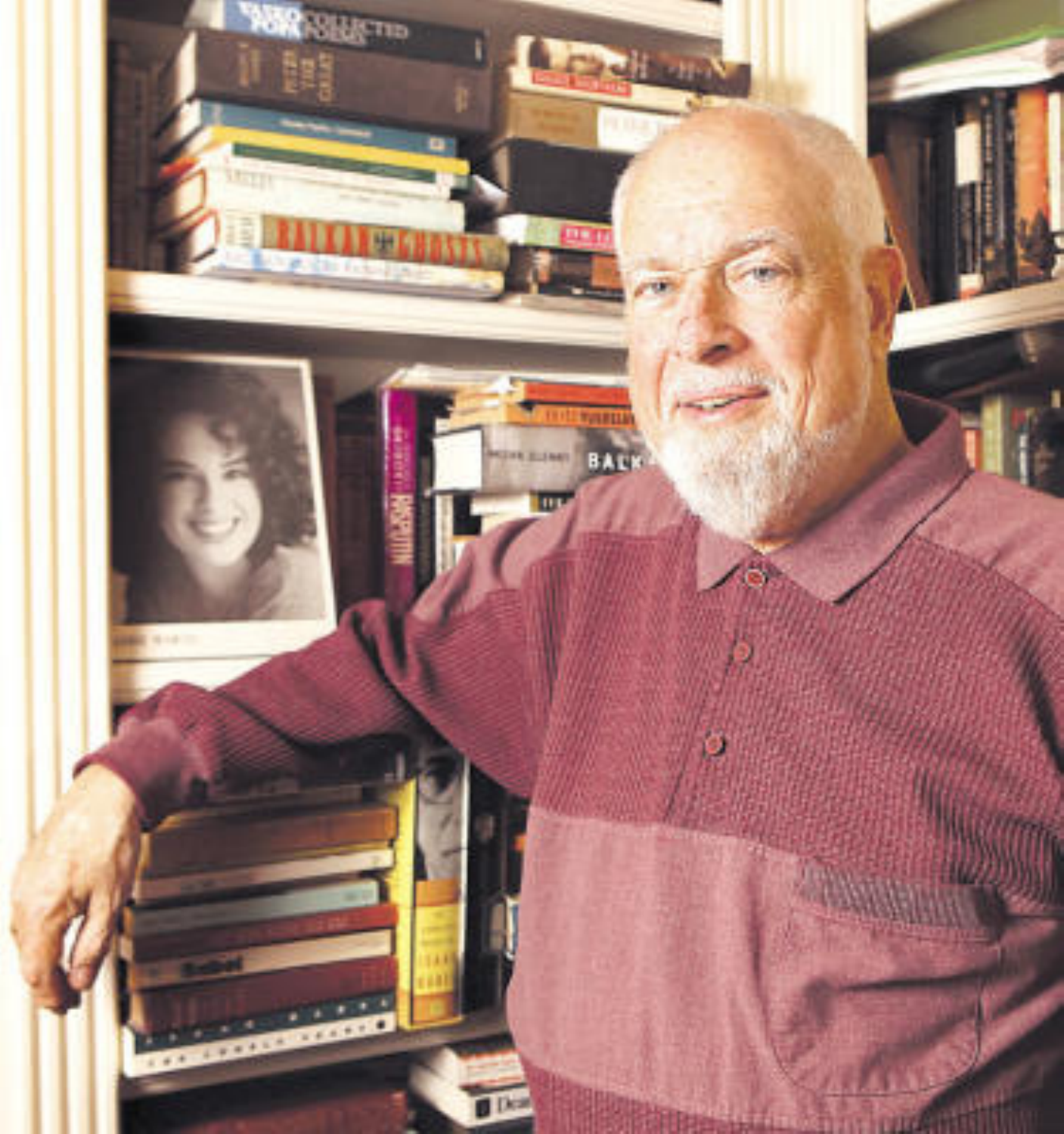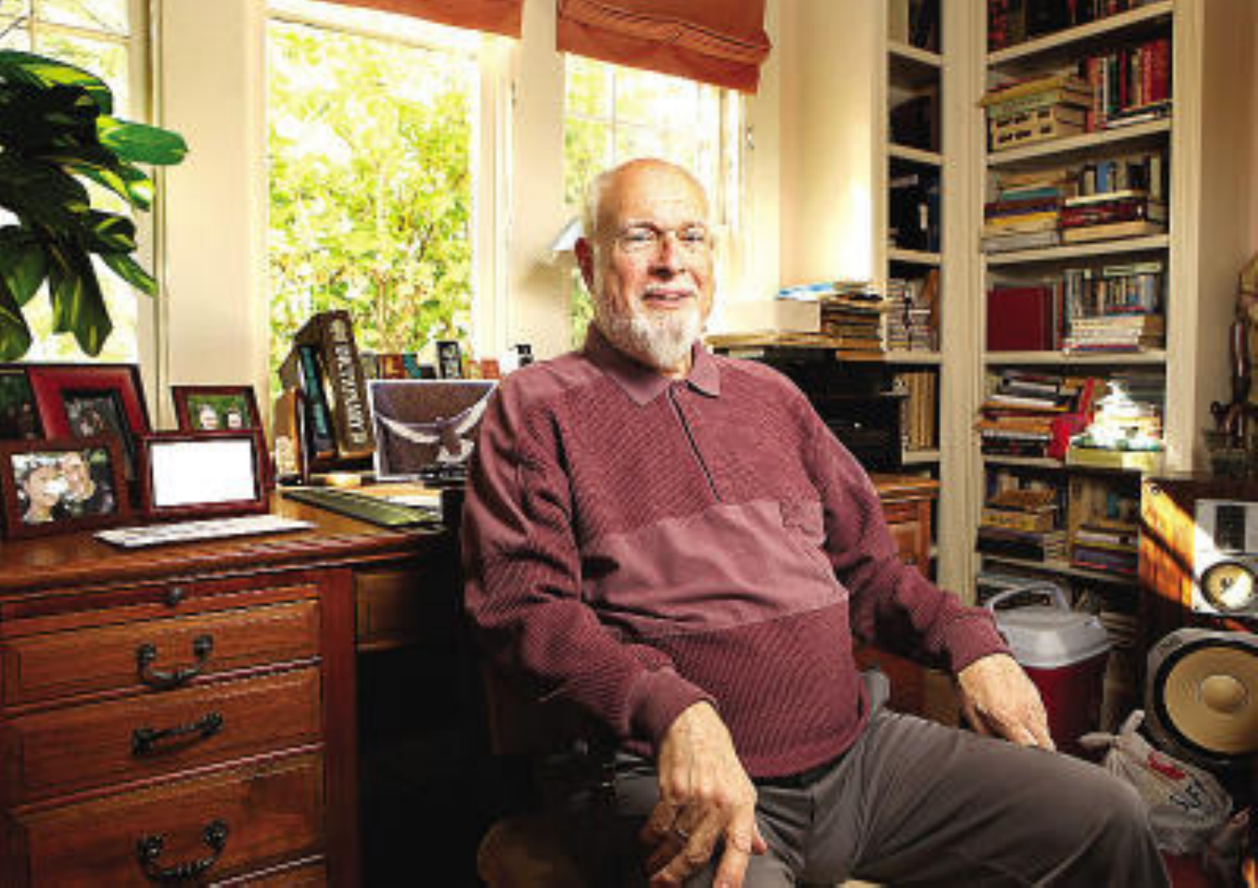